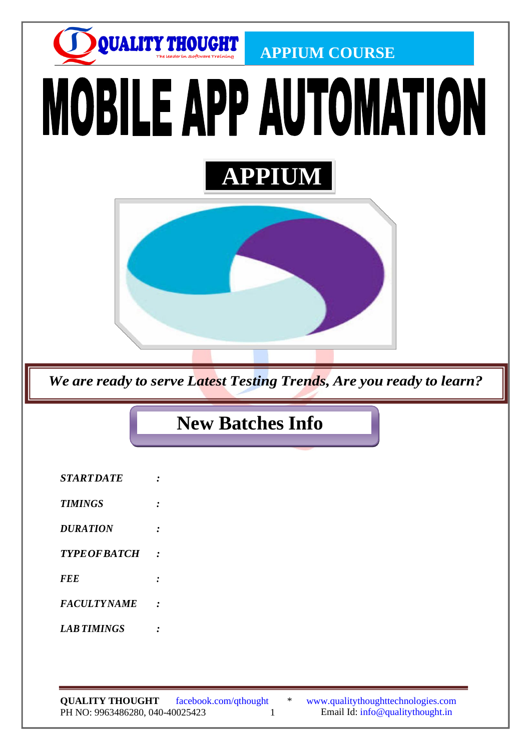

**QUALITY THOUGHT**  PH NO: 9963486280, 040-40025423 1 Email Id: [info@qualitythought.in](mailto:info@qualitythought.in) facebook.com/qthought \* [www.qualitythoughttechnologies.com](http://www.qualitythoughttechnologies.com/)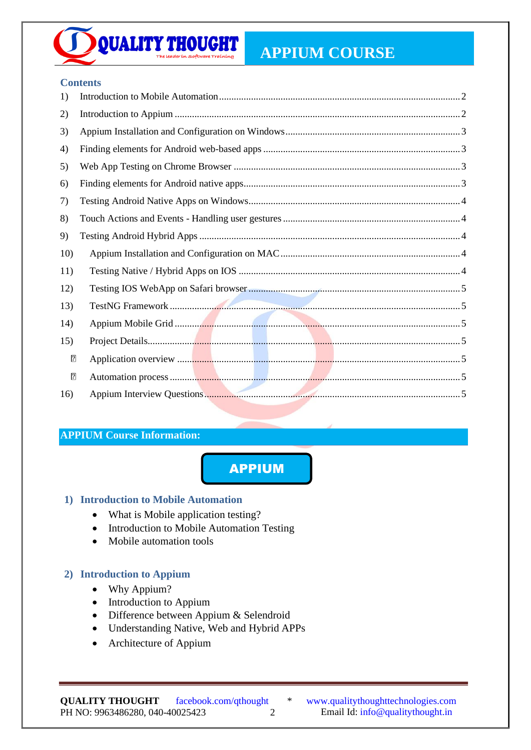# **APPIUM COURSE**

**CONTENT** 

#### **Contents**

**QUALITY THOUGHT** 

| 1)  |  |
|-----|--|
| 2)  |  |
| 3)  |  |
| 4)  |  |
| 5)  |  |
| 6)  |  |
| 7)  |  |
| 8)  |  |
| 9)  |  |
| 10) |  |
| 11) |  |
| 12) |  |
| 13) |  |
| 14) |  |
| 15) |  |
| ⊠   |  |
| ⊡   |  |
| 16) |  |

# **APPIUM Course Information:**

APPIUM

#### <span id="page-1-0"></span>**1) Introduction to Mobile Automation**

- What is Mobile application testing?
- Introduction to Mobile Automation Testing
- Mobile automation tools

# <span id="page-1-1"></span>**2) Introduction to Appium**

- Why Appium?
- Introduction to Appium
- Difference between Appium & Selendroid
- Understanding Native, Web and Hybrid APPs
- Architecture of Appium

**QUALITY THOUGHT**  PH NO: 9963486280, 040-40025423 2 Email Id: [info@qualitythought.in](mailto:info@qualitythought.in)

facebook.com/qthought \* [www.qualitythoughttechnologies.com](http://www.qualitythoughttechnologies.com/)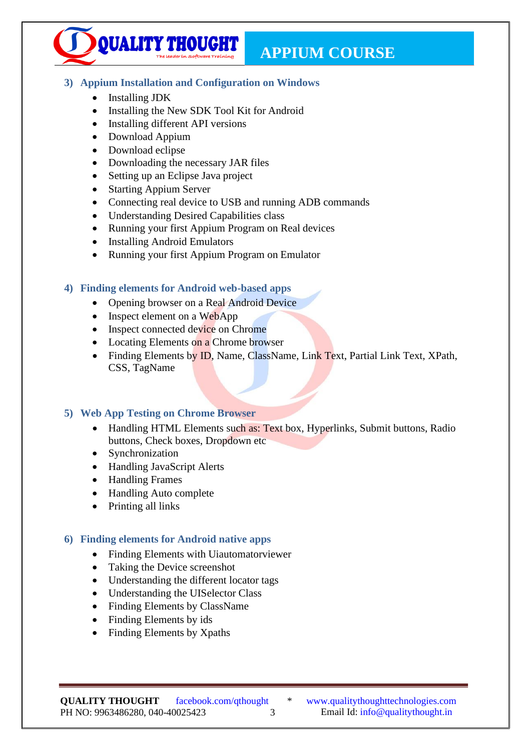**APPIUM COURSE** 

# <span id="page-2-0"></span>**3) Appium Installation and Configuration on Windows** <u>Content</u>

- Installing JDK
- Installing the New SDK Tool Kit for Android
- Installing different API versions

**QUALITY THOUGHT** 

- Download Appium
- Download eclipse
- Downloading the necessary JAR files
- Setting up an Eclipse Java project
- Starting Appium Server
- Connecting real device to USB and running ADB commands
- Understanding Desired Capabilities class
- Running your first Appium Program on Real devices
- Installing Android Emulators
- Running your first Appium Program on Emulator

#### <span id="page-2-1"></span>**4) Finding elements for Android web-based apps**

- Opening browser on a Real Android Device
- Inspect element on a WebApp
- Inspect connected device on Chrome
- Locating Elements on a Chrome browser
- Finding Elements by ID, Name, ClassName, Link Text, Partial Link Text, XPath, CSS, TagName

#### <span id="page-2-2"></span>**5) Web App Testing on Chrome Browser**

- Handling HTML Elements such as: Text box, Hyperlinks, Submit buttons, Radio buttons, Check boxes, Dropdown etc
- Synchronization
- Handling JavaScript Alerts
- Handling Frames
- Handling Auto complete
- Printing all links

#### <span id="page-2-3"></span>**6) Finding elements for Android native apps**

- Finding Elements with Uiautomatorviewer
- Taking the Device screenshot
- Understanding the different locator tags
- Understanding the UISelector Class
- Finding Elements by ClassName
- Finding Elements by ids
- Finding Elements by Xpaths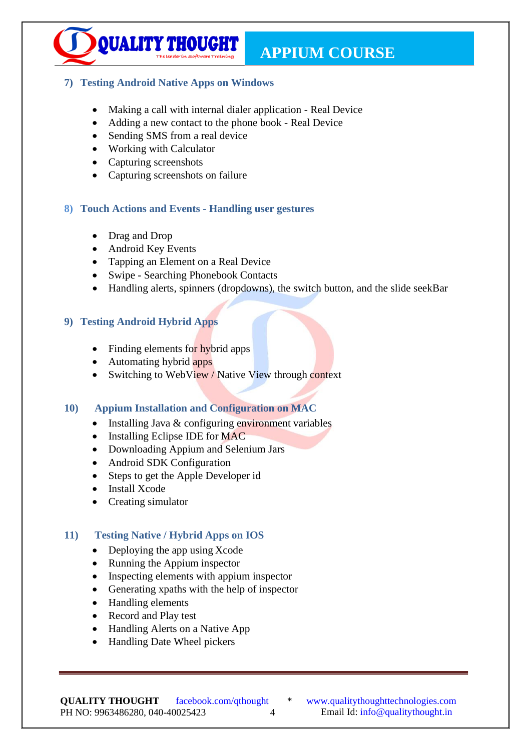## <span id="page-3-0"></span>**7) Testing Android Native Apps on Windows CONTENT**

QUALITY THOUGHT

- Making a call with internal dialer application Real Device
- Adding a new contact to the phone book Real Device
- Sending SMS from a real device
- Working with Calculator
- Capturing screenshots
- Capturing screenshots on failure

# <span id="page-3-1"></span>**8) Touch Actions and Events - Handling user gestures**

- Drag and Drop
- Android Key Events
- Tapping an Element on a Real Device
- Swipe Searching Phonebook Contacts
- Handling alerts, spinners (dropdowns), the switch button, and the slide seekBar

## <span id="page-3-2"></span>**9) Testing Android Hybrid Apps**

- Finding elements for hybrid apps
- Automating hybrid apps
- Switching to WebView / Native View through context

# <span id="page-3-3"></span>**10) Appium Installation and Configuration on MAC**

- Installing Java  $&$  configuring environment variables
- Installing Eclipse IDE for MAC
- Downloading Appium and Selenium Jars
- Android SDK Configuration
- Steps to get the Apple Developer id
- Install Xcode
- Creating simulator

# <span id="page-3-4"></span>**11) Testing Native / Hybrid Apps on IOS**

- Deploying the app using Xcode
- Running the Appium inspector
- Inspecting elements with appium inspector
- Generating xpaths with the help of inspector
- Handling elements
- Record and Play test
- Handling Alerts on a Native App
- Handling Date Wheel pickers

**QUALITY THOUGHT**  PH NO: 9963486280, 040-40025423 4 Email Id: [info@qualitythought.in](mailto:info@qualitythought.in)

facebook.com/qthought \* [www.qualitythoughttechnologies.com](http://www.qualitythoughttechnologies.com/)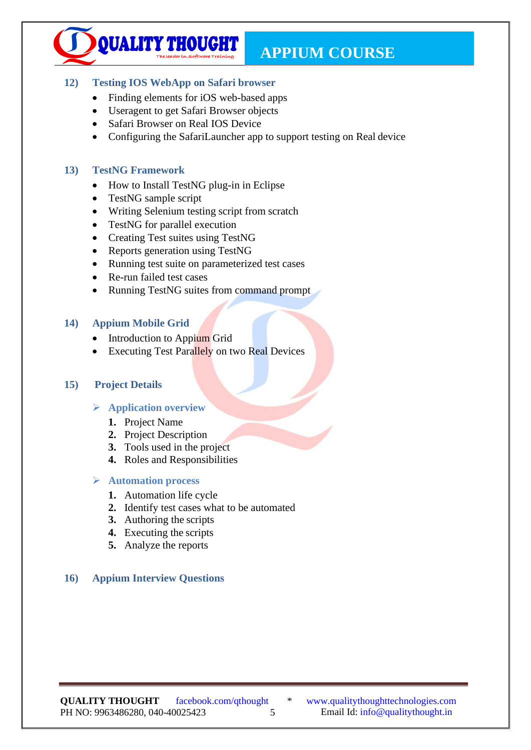## <span id="page-4-0"></span>**12) Testing IOS WebApp on Safari browser CONTENT**

QUALITY THOUGHT

- Finding elements for iOS web-based apps
- Useragent to get Safari Browser objects
- Safari Browser on Real IOS Device
- Configuring the SafariLauncher app to support testing on Real device

## <span id="page-4-1"></span>**13) TestNG Framework**

- How to Install TestNG plug-in in Eclipse
- TestNG sample script
- Writing Selenium testing script from scratch
- TestNG for parallel execution
- Creating Test suites using TestNG
- Reports generation using TestNG
- Running test suite on parameterized test cases
- Re-run failed test cases
- Running TestNG suites from command prompt

## <span id="page-4-2"></span>**14) Appium Mobile Grid**

- Introduction to Appium Grid
- **Executing Test Parallely on two Real Devices**

#### <span id="page-4-4"></span><span id="page-4-3"></span>**15) Project Details**

#### ➢ **Application overview**

- **1.** Project Name
- **2.** Project Description
- **3.** Tools used in the project
- **4.** Roles and Responsibilities

#### <span id="page-4-5"></span>➢ **Automation process**

- **1.** Automation life cycle
- **2.** Identify test cases what to be automated
- **3.** Authoring the scripts
- **4.** Executing the scripts
- **5.** Analyze the reports

# <span id="page-4-6"></span>**16) Appium Interview Questions**